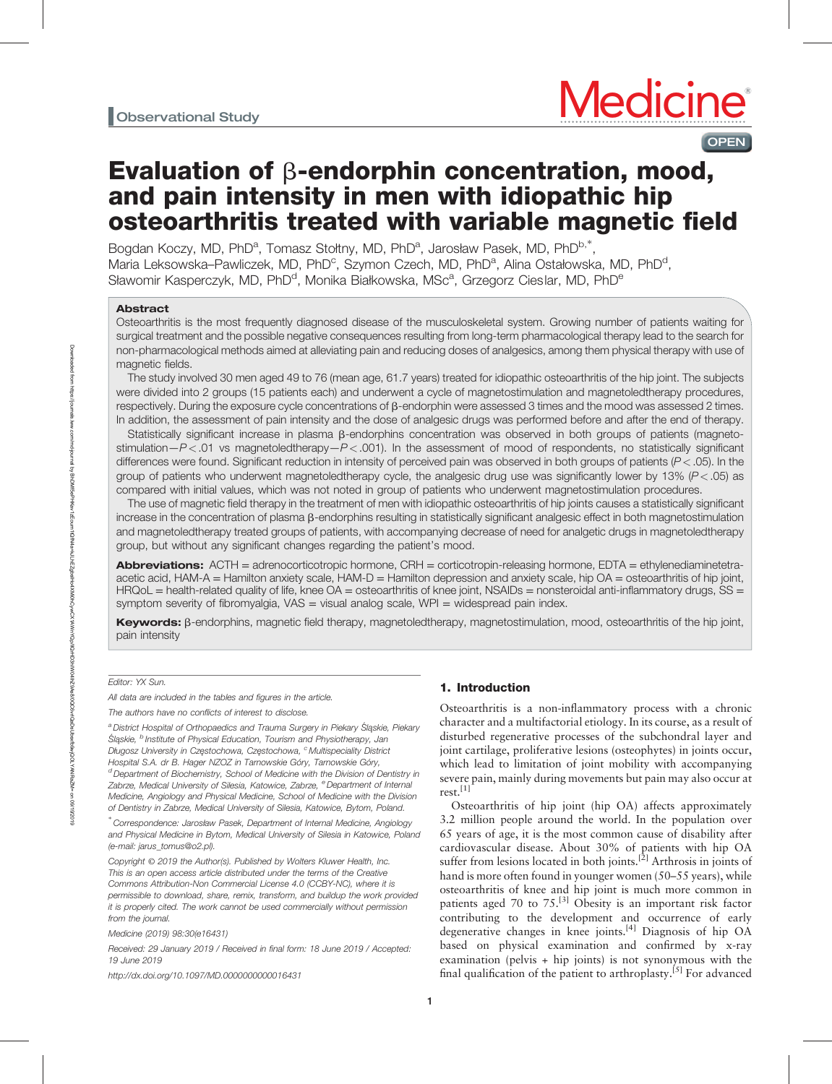# Evaluation of  $\beta$ -endorphin concentration, mood, and pain intensity in men with idiopathic hip osteoarthritis treated with variable magnetic field

Bogdan Koczy, MD, PhD<sup>a</sup>, Tomasz Stołtny, MD, PhD<sup>a</sup>, Jarosław Pasek, MD, PhD<sup>b,\*</sup>, Maria Leksowska–Pawliczek, MD, PhD<sup>c</sup>, Szymon Czech, MD, PhD<sup>a</sup>, Alina Ostałowska, MD, PhD<sup>d</sup>, Sławomir Kasperczyk, MD, PhD<sup>d</sup>, Monika Białkowska, MSc<sup>a</sup>, Grzegorz Cieslar, MD, PhD<sup>e</sup>

## Abstract

Osteoarthritis is the most frequently diagnosed disease of the musculoskeletal system. Growing number of patients waiting for surgical treatment and the possible negative consequences resulting from long-term pharmacological therapy lead to the search for non-pharmacological methods aimed at alleviating pain and reducing doses of analgesics, among them physical therapy with use of magnetic fields.

The study involved 30 men aged 49 to 76 (mean age, 61.7 years) treated for idiopathic osteoarthritis of the hip joint. The subjects were divided into 2 groups (15 patients each) and underwent a cycle of magnetostimulation and magnetoledtherapy procedures, respectively. During the exposure cycle concentrations of β-endorphin were assessed 3 times and the mood was assessed 2 times. In addition, the assessment of pain intensity and the dose of analgesic drugs was performed before and after the end of therapy.

Statistically significant increase in plasma  $\beta$ -endorphins concentration was observed in both groups of patients (magnetostimulation $-P < .01$  vs magnetoledtherapy $-P < .001$ ). In the assessment of mood of respondents, no statistically significant differences were found. Significant reduction in intensity of perceived pain was observed in both groups of patients (P < .05). In the group of patients who underwent magnetoledtherapy cycle, the analgesic drug use was significantly lower by 13%  $(P < .05)$  as compared with initial values, which was not noted in group of patients who underwent magnetostimulation procedures.

The use of magnetic field therapy in the treatment of men with idiopathic osteoarthritis of hip joints causes a statistically significant increase in the concentration of plasma  $\beta$ -endorphins resulting in statistically significant analgesic effect in both magnetostimulation and magnetoledtherapy treated groups of patients, with accompanying decrease of need for analgetic drugs in magnetoledtherapy group, but without any significant changes regarding the patient's mood.

Abbreviations: ACTH = adrenocorticotropic hormone, CRH = corticotropin-releasing hormone, EDTA = ethylenediaminetetraacetic acid, HAM-A = Hamilton anxiety scale, HAM-D = Hamilton depression and anxiety scale, hip OA = osteoarthritis of hip joint,  $HRQol =$  health-related quality of life, knee  $OA =$  osteoarthritis of knee joint,  $NSAIDs =$  nonsteroidal anti-inflammatory drugs,  $SS =$ symptom severity of fibromyalgia, VAS = visual analog scale, WPI = widespread pain index.

Keywords: β-endorphins, magnetic field therapy, magnetoledtherapy, magnetostimulation, mood, osteoarthritis of the hip joint, pain intensity

## Editor: YX Sun.

All data are included in the tables and figures in the article.

The authors have no conflicts of interest to disclose.

<sup>a</sup> District Hospital of Orthopaedics and Trauma Surgery in Piekary Śląskie, Piekary Śląskie, <sup>b</sup> Institute of Physical Education, Tourism and Physiotherapy, Jan Długosz University in Częstochowa, Częstochowa, <sup>c</sup> Multispeciality District Hospital S.A. dr B. Hager NZOZ in Tarnowskie Góry, Tarnowskie Góry,  $d$  Department of Biochemistry, School of Medicine with the Division of Dentistry in Zabrze, Medical University of Silesia, Katowice, Zabrze, <sup>e</sup> Department of Internal Medicine, Angiology and Physical Medicine, School of Medicine with the Division of Dentistry in Zabrze, Medical University of Silesia, Katowice, Bytom, Poland.

∗ Correspondence: Jarosław Pasek, Department of Internal Medicine, Angiology and Physical Medicine in Bytom, Medical University of Silesia in Katowice, Poland (e-mail: [jarus\\_tomus@o2.pl](mailto:jarus_tomus@o2.pl)).

Copyright © 2019 the Author(s). Published by Wolters Kluwer Health, Inc. This is an open access article distributed under the terms of the [Creative](http://creativecommons.org/licenses/by-nc/4.0) [Commons Attribution-Non Commercial License 4.0](http://creativecommons.org/licenses/by-nc/4.0) (CCBY-NC), where it is permissible to download, share, remix, transform, and buildup the work provided it is properly cited. The work cannot be used commercially without permission from the journal.

Medicine (2019) 98:30(e16431)

Received: 29 January 2019 / Received in final form: 18 June 2019 / Accepted: 19 June 2019

<http://dx.doi.org/10.1097/MD.0000000000016431>

## 1. Introduction

Osteoarthritis is a non-inflammatory process with a chronic character and a multifactorial etiology. In its course, as a result of disturbed regenerative processes of the subchondral layer and joint cartilage, proliferative lesions (osteophytes) in joints occur, which lead to limitation of joint mobility with accompanying severe pain, mainly during movements but pain may also occur at  $rest.<sup>[1]</sup>$ 

Osteoarthritis of hip joint (hip OA) affects approximately 3.2 million people around the world. In the population over 65 years of age, it is the most common cause of disability after cardiovascular disease. About 30% of patients with hip OA suffer from lesions located in both joints.<sup>[2]</sup> Arthrosis in joints of hand is more often found in younger women (50–55 years), while osteoarthritis of knee and hip joint is much more common in patients aged 70 to 75.<sup>[3]</sup> Obesity is an important risk factor contributing to the development and occurrence of early degenerative changes in knee joints.<sup>[4]</sup> Diagnosis of hip OA based on physical examination and confirmed by x-ray examination (pelvis + hip joints) is not synonymous with the final qualification of the patient to arthroplasty.<sup>[5]</sup> For advanced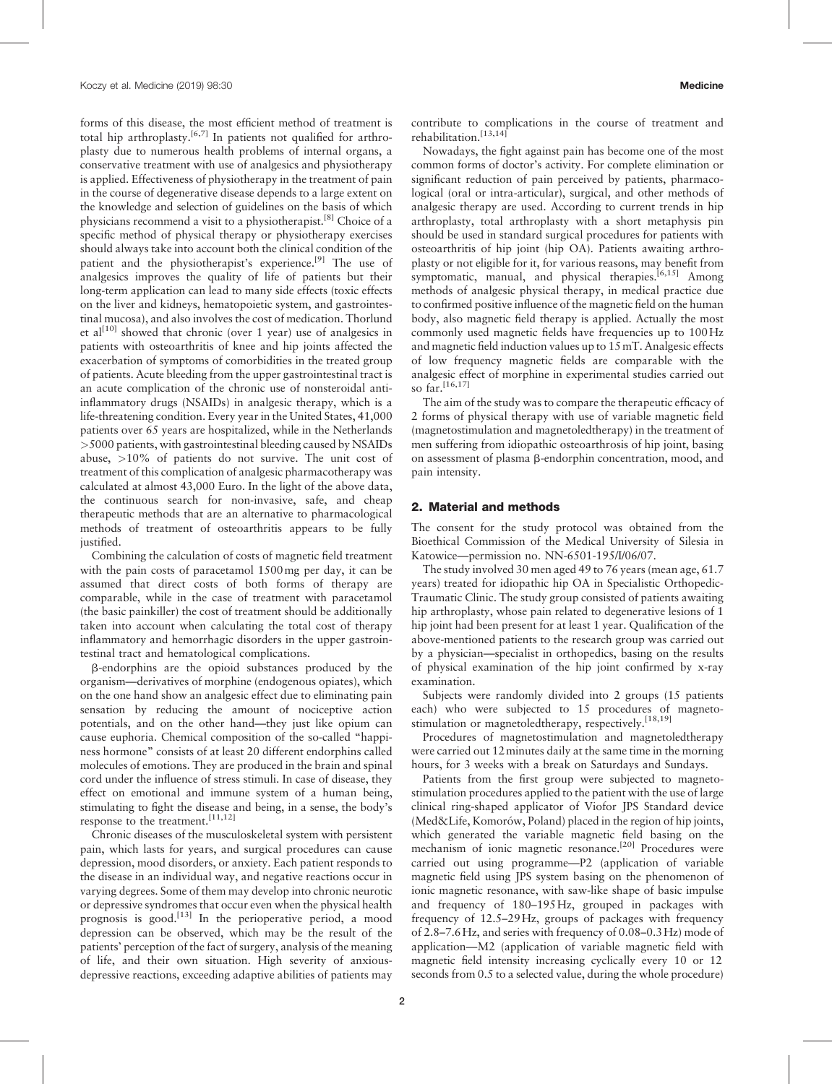forms of this disease, the most efficient method of treatment is total hip arthroplasty.<sup>[6,7]</sup> In patients not qualified for arthroplasty due to numerous health problems of internal organs, a conservative treatment with use of analgesics and physiotherapy is applied. Effectiveness of physiotherapy in the treatment of pain in the course of degenerative disease depends to a large extent on the knowledge and selection of guidelines on the basis of which physicians recommend a visit to a physiotherapist.[8] Choice of a specific method of physical therapy or physiotherapy exercises should always take into account both the clinical condition of the patient and the physiotherapist's experience.<sup>[9]</sup> The use of analgesics improves the quality of life of patients but their long-term application can lead to many side effects (toxic effects on the liver and kidneys, hematopoietic system, and gastrointestinal mucosa), and also involves the cost of medication. Thorlund et al<sup>[10]</sup> showed that chronic (over 1 year) use of analgesics in patients with osteoarthritis of knee and hip joints affected the exacerbation of symptoms of comorbidities in the treated group of patients. Acute bleeding from the upper gastrointestinal tract is an acute complication of the chronic use of nonsteroidal antiinflammatory drugs (NSAIDs) in analgesic therapy, which is a life-threatening condition. Every year in the United States, 41,000 patients over 65 years are hospitalized, while in the Netherlands >5000 patients, with gastrointestinal bleeding caused by NSAIDs abuse, >10% of patients do not survive. The unit cost of treatment of this complication of analgesic pharmacotherapy was calculated at almost 43,000 Euro. In the light of the above data, the continuous search for non-invasive, safe, and cheap therapeutic methods that are an alternative to pharmacological methods of treatment of osteoarthritis appears to be fully justified.

Combining the calculation of costs of magnetic field treatment with the pain costs of paracetamol 1500mg per day, it can be assumed that direct costs of both forms of therapy are comparable, while in the case of treatment with paracetamol (the basic painkiller) the cost of treatment should be additionally taken into account when calculating the total cost of therapy inflammatory and hemorrhagic disorders in the upper gastrointestinal tract and hematological complications.

b-endorphins are the opioid substances produced by the organism—derivatives of morphine (endogenous opiates), which on the one hand show an analgesic effect due to eliminating pain sensation by reducing the amount of nociceptive action potentials, and on the other hand—they just like opium can cause euphoria. Chemical composition of the so-called "happiness hormone" consists of at least 20 different endorphins called molecules of emotions. They are produced in the brain and spinal cord under the influence of stress stimuli. In case of disease, they effect on emotional and immune system of a human being, stimulating to fight the disease and being, in a sense, the body's response to the treatment.[11,12]

Chronic diseases of the musculoskeletal system with persistent pain, which lasts for years, and surgical procedures can cause depression, mood disorders, or anxiety. Each patient responds to the disease in an individual way, and negative reactions occur in varying degrees. Some of them may develop into chronic neurotic or depressive syndromes that occur even when the physical health prognosis is good.<sup>[13]</sup> In the perioperative period, a mood depression can be observed, which may be the result of the patients' perception of the fact of surgery, analysis of the meaning of life, and their own situation. High severity of anxiousdepressive reactions, exceeding adaptive abilities of patients may contribute to complications in the course of treatment and rehabilitation.[13,14]

Nowadays, the fight against pain has become one of the most common forms of doctor's activity. For complete elimination or significant reduction of pain perceived by patients, pharmacological (oral or intra-articular), surgical, and other methods of analgesic therapy are used. According to current trends in hip arthroplasty, total arthroplasty with a short metaphysis pin should be used in standard surgical procedures for patients with osteoarthritis of hip joint (hip OA). Patients awaiting arthroplasty or not eligible for it, for various reasons, may benefit from symptomatic, manual, and physical therapies.<sup>[6,15]</sup> Among methods of analgesic physical therapy, in medical practice due to confirmed positive influence of the magnetic field on the human body, also magnetic field therapy is applied. Actually the most commonly used magnetic fields have frequencies up to 100Hz and magnetic field induction values up to 15mT. Analgesic effects of low frequency magnetic fields are comparable with the analgesic effect of morphine in experimental studies carried out so far.<sup>[16,17]</sup>

The aim of the study was to compare the therapeutic efficacy of 2 forms of physical therapy with use of variable magnetic field (magnetostimulation and magnetoledtherapy) in the treatment of men suffering from idiopathic osteoarthrosis of hip joint, basing on assessment of plasma  $\beta$ -endorphin concentration, mood, and pain intensity.

## 2. Material and methods

The consent for the study protocol was obtained from the Bioethical Commission of the Medical University of Silesia in Katowice—permission no. NN-6501-195/I/06/07.

The study involved 30 men aged 49 to 76 years (mean age, 61.7 years) treated for idiopathic hip OA in Specialistic Orthopedic-Traumatic Clinic. The study group consisted of patients awaiting hip arthroplasty, whose pain related to degenerative lesions of 1 hip joint had been present for at least 1 year. Qualification of the above-mentioned patients to the research group was carried out by a physician—specialist in orthopedics, basing on the results of physical examination of the hip joint confirmed by x-ray examination.

Subjects were randomly divided into 2 groups (15 patients each) who were subjected to 15 procedures of magnetostimulation or magnetoledtherapy, respectively.<sup>[18,19]</sup>

Procedures of magnetostimulation and magnetoledtherapy were carried out 12minutes daily at the same time in the morning hours, for 3 weeks with a break on Saturdays and Sundays.

Patients from the first group were subjected to magnetostimulation procedures applied to the patient with the use of large clinical ring-shaped applicator of Viofor JPS Standard device (Med&Life, Komorów, Poland) placed in the region of hip joints, which generated the variable magnetic field basing on the mechanism of ionic magnetic resonance.<sup>[20]</sup> Procedures were carried out using programme—P2 (application of variable magnetic field using JPS system basing on the phenomenon of ionic magnetic resonance, with saw-like shape of basic impulse and frequency of 180–195Hz, grouped in packages with frequency of 12.5–29Hz, groups of packages with frequency of 2.8–7.6Hz, and series with frequency of 0.08–0.3Hz) mode of application—M2 (application of variable magnetic field with magnetic field intensity increasing cyclically every 10 or 12 seconds from 0.5 to a selected value, during the whole procedure)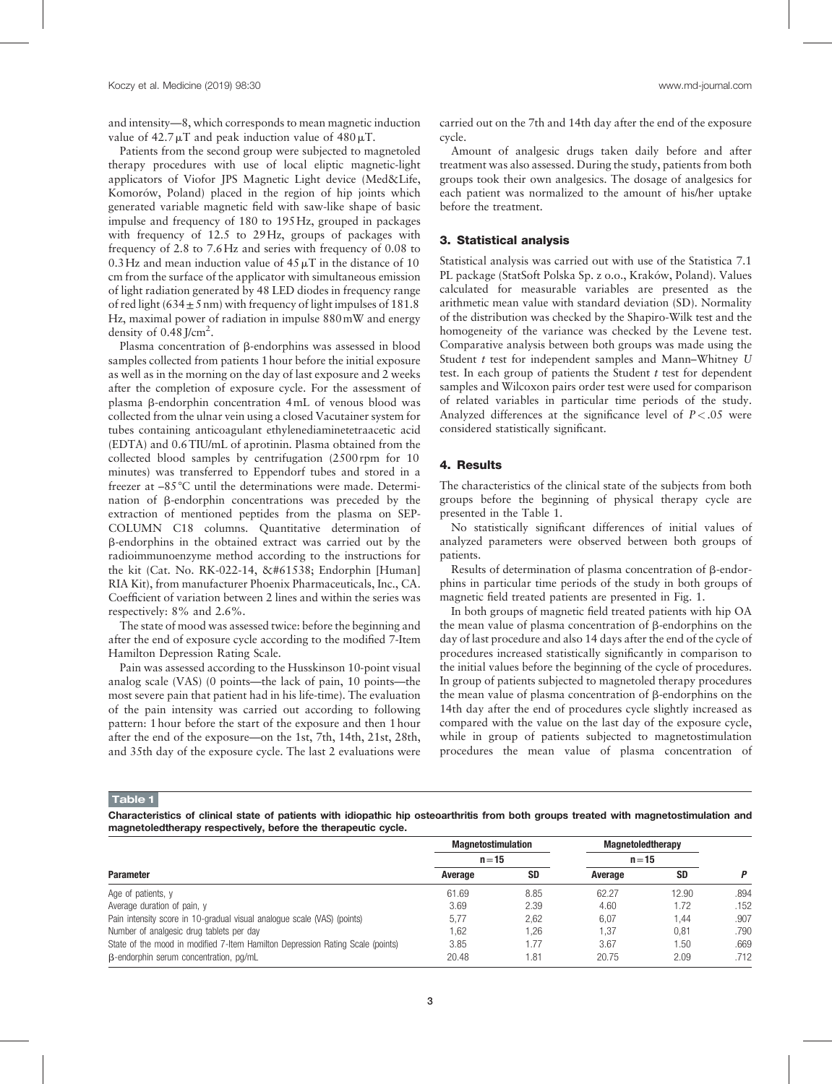and intensity—8, which corresponds to mean magnetic induction value of  $42.7 \mu T$  and peak induction value of  $480 \mu T$ .

Patients from the second group were subjected to magnetoled therapy procedures with use of local eliptic magnetic-light applicators of Viofor JPS Magnetic Light device (Med&Life, Komorów, Poland) placed in the region of hip joints which generated variable magnetic field with saw-like shape of basic impulse and frequency of 180 to 195Hz, grouped in packages with frequency of 12.5 to 29Hz, groups of packages with frequency of 2.8 to 7.6Hz and series with frequency of 0.08 to 0.3Hz and mean induction value of  $45 \mu$ T in the distance of 10 cm from the surface of the applicator with simultaneous emission of light radiation generated by 48 LED diodes in frequency range of red light ( $634 \pm 5$  nm) with frequency of light impulses of 181.8 Hz, maximal power of radiation in impulse 880mW and energy density of  $0.\overline{48}$  J/cm<sup>2</sup>.

Plasma concentration of  $\beta$ -endorphins was assessed in blood samples collected from patients 1 hour before the initial exposure as well as in the morning on the day of last exposure and 2 weeks after the completion of exposure cycle. For the assessment of plasma  $\beta$ -endorphin concentration 4mL of venous blood was collected from the ulnar vein using a closed Vacutainer system for tubes containing anticoagulant ethylenediaminetetraacetic acid (EDTA) and 0.6TIU/mL of aprotinin. Plasma obtained from the collected blood samples by centrifugation (2500 rpm for 10 minutes) was transferred to Eppendorf tubes and stored in a freezer at –85°C until the determinations were made. Determination of b-endorphin concentrations was preceded by the extraction of mentioned peptides from the plasma on SEP-COLUMN C18 columns. Quantitative determination of b-endorphins in the obtained extract was carried out by the radioimmunoenzyme method according to the instructions for the kit (Cat. No. RK-022-14,  Endorphin [Human] RIA Kit), from manufacturer Phoenix Pharmaceuticals, Inc., CA. Coefficient of variation between 2 lines and within the series was respectively: 8% and 2.6%.

The state of mood was assessed twice: before the beginning and after the end of exposure cycle according to the modified 7-Item Hamilton Depression Rating Scale.

Pain was assessed according to the Husskinson 10-point visual analog scale (VAS) (0 points—the lack of pain, 10 points—the most severe pain that patient had in his life-time). The evaluation of the pain intensity was carried out according to following pattern: 1 hour before the start of the exposure and then 1 hour after the end of the exposure—on the 1st, 7th, 14th, 21st, 28th, and 35th day of the exposure cycle. The last 2 evaluations were carried out on the 7th and 14th day after the end of the exposure cycle.

Amount of analgesic drugs taken daily before and after treatment was also assessed. During the study, patients from both groups took their own analgesics. The dosage of analgesics for each patient was normalized to the amount of his/her uptake before the treatment.

#### 3. Statistical analysis

Statistical analysis was carried out with use of the Statistica 7.1 PL package (StatSoft Polska Sp. z o.o., Kraków, Poland). Values calculated for measurable variables are presented as the arithmetic mean value with standard deviation (SD). Normality of the distribution was checked by the Shapiro-Wilk test and the homogeneity of the variance was checked by the Levene test. Comparative analysis between both groups was made using the Student  $t$  test for independent samples and Mann–Whitney  $U$ test. In each group of patients the Student  $t$  test for dependent samples and Wilcoxon pairs order test were used for comparison of related variables in particular time periods of the study. Analyzed differences at the significance level of  $P < .05$  were considered statistically significant.

## 4. Results

The characteristics of the clinical state of the subjects from both groups before the beginning of physical therapy cycle are presented in the Table 1.

No statistically significant differences of initial values of analyzed parameters were observed between both groups of patients.

Results of determination of plasma concentration of  $\beta$ -endorphins in particular time periods of the study in both groups of magnetic field treated patients are presented in Fig. 1.

In both groups of magnetic field treated patients with hip OA the mean value of plasma concentration of  $\beta$ -endorphins on the day of last procedure and also 14 days after the end of the cycle of procedures increased statistically significantly in comparison to the initial values before the beginning of the cycle of procedures. In group of patients subjected to magnetoled therapy procedures the mean value of plasma concentration of  $\beta$ -endorphins on the 14th day after the end of procedures cycle slightly increased as compared with the value on the last day of the exposure cycle, while in group of patients subjected to magnetostimulation procedures the mean value of plasma concentration of

Table 1

Characteristics of clinical state of patients with idiopathic hip osteoarthritis from both groups treated with magnetostimulation and magnetoledtherapy respectively, before the therapeutic cycle.

| <b>Parameter</b>                                                               | <b>Magnetostimulation</b><br>$n = 15$ |       | <b>Magnetoledtherapy</b><br>$n = 15$ |       |       |
|--------------------------------------------------------------------------------|---------------------------------------|-------|--------------------------------------|-------|-------|
|                                                                                |                                       |       |                                      |       |       |
|                                                                                | Age of patients, y                    | 61.69 | 8.85                                 | 62.27 | 12.90 |
| Average duration of pain, y                                                    | 3.69                                  | 2.39  | 4.60                                 | 1.72  | .152  |
| Pain intensity score in 10-gradual visual analogue scale (VAS) (points)        | 5.77                                  | 2.62  | 6.07                                 | 1.44  | .907  |
| Number of analgesic drug tablets per day                                       | 1.62                                  | .26   | 1.37                                 | 0,81  | .790  |
| State of the mood in modified 7-Item Hamilton Depression Rating Scale (points) | 3.85                                  | 77،   | 3.67                                 | 1.50  | .669  |
| B-endorphin serum concentration, pg/mL                                         | 20.48                                 | .81   | 20.75                                | 2.09  | .712  |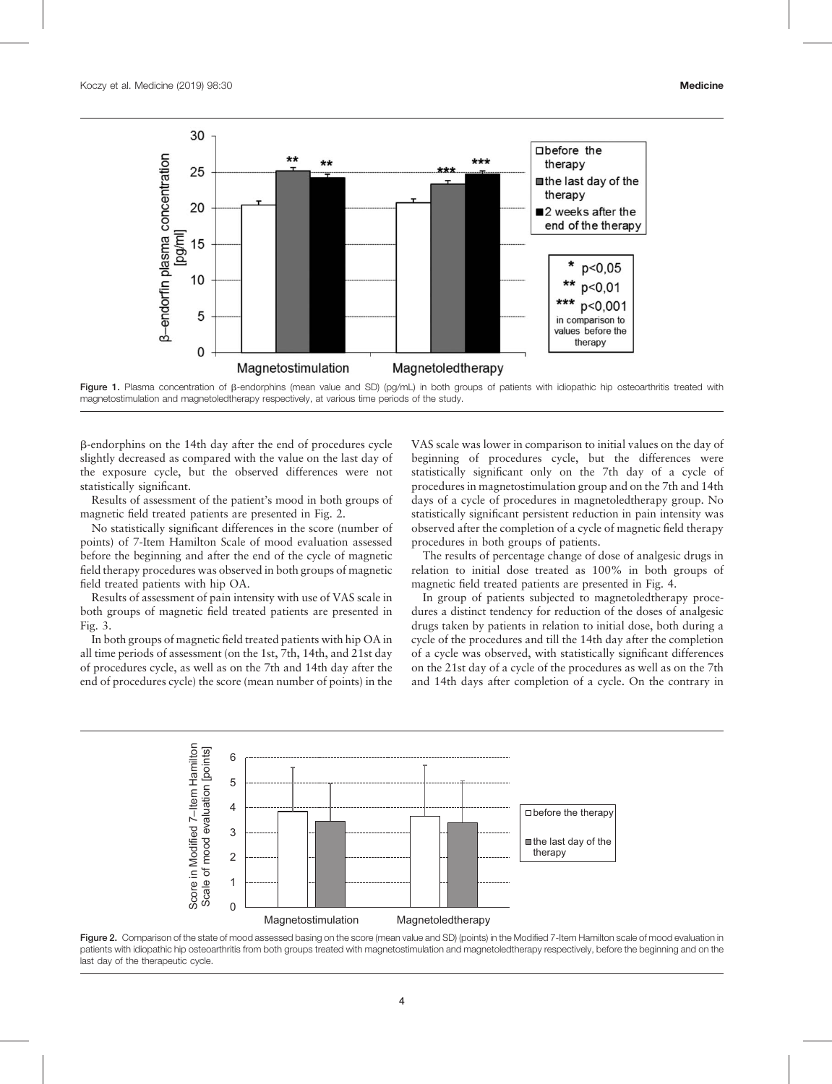

Figure 1. Plasma concentration of B-endorphins (mean value and SD) (pg/mL) in both groups of patients with idiopathic hip osteoarthritis treated with magnetostimulation and magnetoledtherapy respectively, at various time periods of the study.

b-endorphins on the 14th day after the end of procedures cycle slightly decreased as compared with the value on the last day of the exposure cycle, but the observed differences were not statistically significant.

Results of assessment of the patient's mood in both groups of magnetic field treated patients are presented in Fig. 2.

No statistically significant differences in the score (number of points) of 7-Item Hamilton Scale of mood evaluation assessed before the beginning and after the end of the cycle of magnetic field therapy procedures was observed in both groups of magnetic field treated patients with hip OA.

Results of assessment of pain intensity with use of VAS scale in both groups of magnetic field treated patients are presented in Fig. 3.

In both groups of magnetic field treated patients with hip OA in all time periods of assessment (on the 1st, 7th, 14th, and 21st day of procedures cycle, as well as on the 7th and 14th day after the end of procedures cycle) the score (mean number of points) in the

VAS scale was lower in comparison to initial values on the day of beginning of procedures cycle, but the differences were statistically significant only on the 7th day of a cycle of procedures in magnetostimulation group and on the 7th and 14th days of a cycle of procedures in magnetoledtherapy group. No statistically significant persistent reduction in pain intensity was observed after the completion of a cycle of magnetic field therapy procedures in both groups of patients.

The results of percentage change of dose of analgesic drugs in relation to initial dose treated as 100% in both groups of magnetic field treated patients are presented in Fig. 4.

In group of patients subjected to magnetoledtherapy procedures a distinct tendency for reduction of the doses of analgesic drugs taken by patients in relation to initial dose, both during a cycle of the procedures and till the 14th day after the completion of a cycle was observed, with statistically significant differences on the 21st day of a cycle of the procedures as well as on the 7th and 14th days after completion of a cycle. On the contrary in



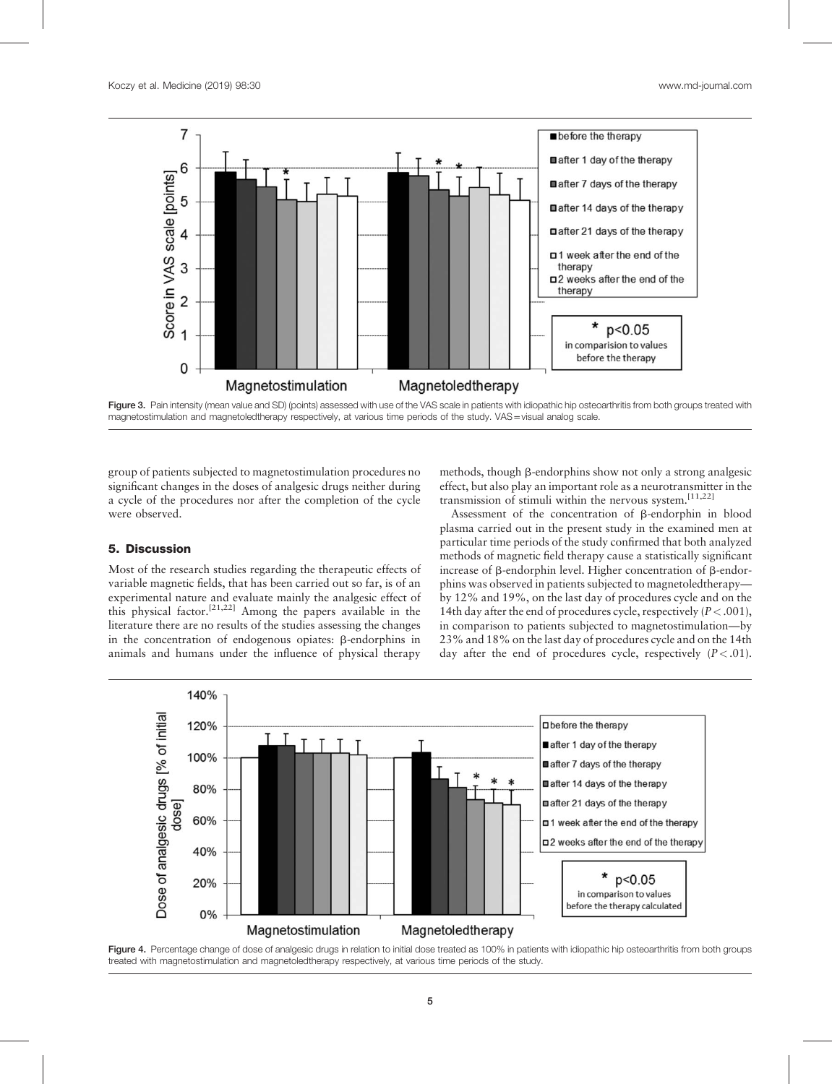

Figure 3. Pain intensity (mean value and SD) (points) assessed with use of the VAS scale in patients with idiopathic hip osteoarthritis from both groups treated with magnetostimulation and magnetoledtherapy respectively, at various time periods of the study. VAS=visual analog scale.

group of patients subjected to magnetostimulation procedures no significant changes in the doses of analgesic drugs neither during a cycle of the procedures nor after the completion of the cycle were observed.

methods, though  $\beta$ -endorphins show not only a strong analgesic effect, but also play an important role as a neurotransmitter in the transmission of stimuli within the nervous system.<sup>[11,22]</sup>

## 5. Discussion

Most of the research studies regarding the therapeutic effects of variable magnetic fields, that has been carried out so far, is of an experimental nature and evaluate mainly the analgesic effect of this physical factor.[21,22] Among the papers available in the literature there are no results of the studies assessing the changes in the concentration of endogenous opiates:  $\beta$ -endorphins in animals and humans under the influence of physical therapy

Assessment of the concentration of  $\beta$ -endorphin in blood plasma carried out in the present study in the examined men at particular time periods of the study confirmed that both analyzed methods of magnetic field therapy cause a statistically significant increase of  $\beta$ -endorphin level. Higher concentration of  $\beta$ -endorphins was observed in patients subjected to magnetoledtherapy by 12% and 19%, on the last day of procedures cycle and on the 14th day after the end of procedures cycle, respectively  $(P < .001)$ , in comparison to patients subjected to magnetostimulation—by 23% and 18% on the last day of procedures cycle and on the 14th day after the end of procedures cycle, respectively  $(P < .01)$ .



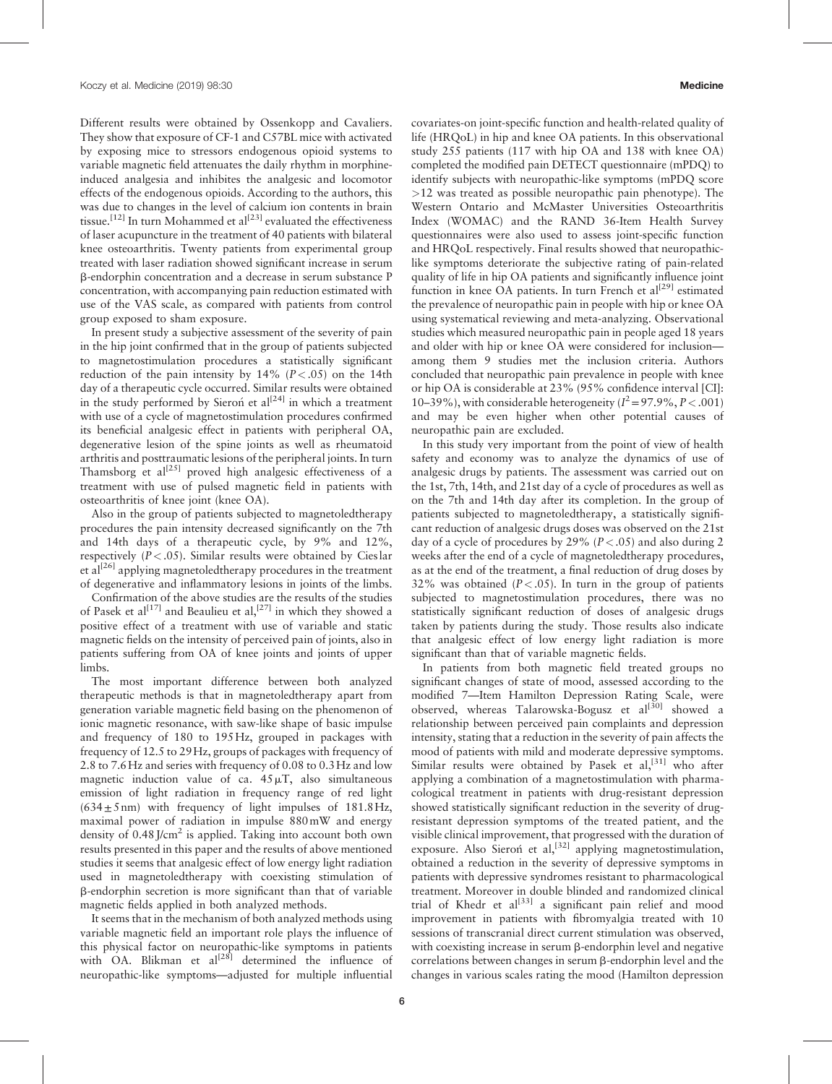Different results were obtained by Ossenkopp and Cavaliers. They show that exposure of CF-1 and C57BL mice with activated by exposing mice to stressors endogenous opioid systems to variable magnetic field attenuates the daily rhythm in morphineinduced analgesia and inhibites the analgesic and locomotor effects of the endogenous opioids. According to the authors, this was due to changes in the level of calcium ion contents in brain tissue.<sup>[12]</sup> In turn Mohammed et al<sup>[23]</sup> evaluated the effectiveness of laser acupuncture in the treatment of 40 patients with bilateral knee osteoarthritis. Twenty patients from experimental group treated with laser radiation showed significant increase in serum b-endorphin concentration and a decrease in serum substance P concentration, with accompanying pain reduction estimated with use of the VAS scale, as compared with patients from control group exposed to sham exposure.

In present study a subjective assessment of the severity of pain in the hip joint confirmed that in the group of patients subjected to magnetostimulation procedures a statistically significant reduction of the pain intensity by  $14\%$  ( $P < .05$ ) on the 14th day of a therapeutic cycle occurred. Similar results were obtained in the study performed by Sieron et  $al^{[24]}$  in which a treatment with use of a cycle of magnetostimulation procedures confirmed its beneficial analgesic effect in patients with peripheral OA, degenerative lesion of the spine joints as well as rheumatoid arthritis and posttraumatic lesions of the peripheral joints. In turn Thamsborg et  $al^{[25]}$  proved high analgesic effectiveness of a treatment with use of pulsed magnetic field in patients with osteoarthritis of knee joint (knee OA).

Also in the group of patients subjected to magnetoledtherapy procedures the pain intensity decreased significantly on the 7th and 14th days of a therapeutic cycle, by 9% and 12%, respectively  $(P < .05)$ . Similar results were obtained by Cieslar et al<sup>[26]</sup> applying magnetoledtherapy procedures in the treatment of degenerative and inflammatory lesions in joints of the limbs.

Confirmation of the above studies are the results of the studies of Pasek et al<sup>[17]</sup> and Beaulieu et al,<sup>[27]</sup> in which they showed a positive effect of a treatment with use of variable and static magnetic fields on the intensity of perceived pain of joints, also in patients suffering from OA of knee joints and joints of upper limbs.

The most important difference between both analyzed therapeutic methods is that in magnetoledtherapy apart from generation variable magnetic field basing on the phenomenon of ionic magnetic resonance, with saw-like shape of basic impulse and frequency of 180 to 195Hz, grouped in packages with frequency of 12.5 to 29Hz, groups of packages with frequency of 2.8 to 7.6Hz and series with frequency of 0.08 to 0.3Hz and low magnetic induction value of ca.  $45 \mu T$ , also simultaneous emission of light radiation in frequency range of red light  $(634 \pm 5 \text{ nm})$  with frequency of light impulses of 181.8Hz, maximal power of radiation in impulse 880mW and energy density of  $0.48$  J/cm<sup>2</sup> is applied. Taking into account both own results presented in this paper and the results of above mentioned studies it seems that analgesic effect of low energy light radiation used in magnetoledtherapy with coexisting stimulation of b-endorphin secretion is more significant than that of variable magnetic fields applied in both analyzed methods.

It seems that in the mechanism of both analyzed methods using variable magnetic field an important role plays the influence of this physical factor on neuropathic-like symptoms in patients with  $OA$ . Blikman et al<sup>[28]</sup> determined the influence of neuropathic-like symptoms—adjusted for multiple influential covariates-on joint-specific function and health-related quality of life (HRQoL) in hip and knee OA patients. In this observational study 255 patients (117 with hip OA and 138 with knee OA) completed the modified pain DETECT questionnaire (mPDQ) to identify subjects with neuropathic-like symptoms (mPDQ score >12 was treated as possible neuropathic pain phenotype). The Western Ontario and McMaster Universities Osteoarthritis Index (WOMAC) and the RAND 36-Item Health Survey questionnaires were also used to assess joint-specific function and HRQoL respectively. Final results showed that neuropathiclike symptoms deteriorate the subjective rating of pain-related quality of life in hip OA patients and significantly influence joint function in knee  $\tilde{OA}$  patients. In turn French et al<sup>[29]</sup> estimated the prevalence of neuropathic pain in people with hip or knee OA using systematical reviewing and meta-analyzing. Observational studies which measured neuropathic pain in people aged 18 years and older with hip or knee OA were considered for inclusion among them 9 studies met the inclusion criteria. Authors concluded that neuropathic pain prevalence in people with knee or hip OA is considerable at 23% (95% confidence interval [CI]: 10–39%), with considerable heterogeneity ( $I^2 = 97.9\%$ ,  $P < .001$ ) and may be even higher when other potential causes of neuropathic pain are excluded.

In this study very important from the point of view of health safety and economy was to analyze the dynamics of use of analgesic drugs by patients. The assessment was carried out on the 1st, 7th, 14th, and 21st day of a cycle of procedures as well as on the 7th and 14th day after its completion. In the group of patients subjected to magnetoledtherapy, a statistically significant reduction of analgesic drugs doses was observed on the 21st day of a cycle of procedures by 29% ( $P < .05$ ) and also during 2 weeks after the end of a cycle of magnetoledtherapy procedures, as at the end of the treatment, a final reduction of drug doses by 32% was obtained  $(P < .05)$ . In turn in the group of patients subjected to magnetostimulation procedures, there was no statistically significant reduction of doses of analgesic drugs taken by patients during the study. Those results also indicate that analgesic effect of low energy light radiation is more significant than that of variable magnetic fields.

In patients from both magnetic field treated groups no significant changes of state of mood, assessed according to the modified 7—Item Hamilton Depression Rating Scale, were observed, whereas Talarowska-Bogusz et al<sup>[30]</sup> showed a relationship between perceived pain complaints and depression intensity, stating that a reduction in the severity of pain affects the mood of patients with mild and moderate depressive symptoms. Similar results were obtained by Pasek et al,  $[31]$  who after applying a combination of a magnetostimulation with pharmacological treatment in patients with drug-resistant depression showed statistically significant reduction in the severity of drugresistant depression symptoms of the treated patient, and the visible clinical improvement, that progressed with the duration of exposure. Also Sieron et al,  $[32]$  applying magnetostimulation, obtained a reduction in the severity of depressive symptoms in patients with depressive syndromes resistant to pharmacological treatment. Moreover in double blinded and randomized clinical trial of Khedr et  $al^{[33]}$  a significant pain relief and mood improvement in patients with fibromyalgia treated with 10 sessions of transcranial direct current stimulation was observed, with coexisting increase in serum  $\beta$ -endorphin level and negative correlations between changes in serum  $\beta$ -endorphin level and the changes in various scales rating the mood (Hamilton depression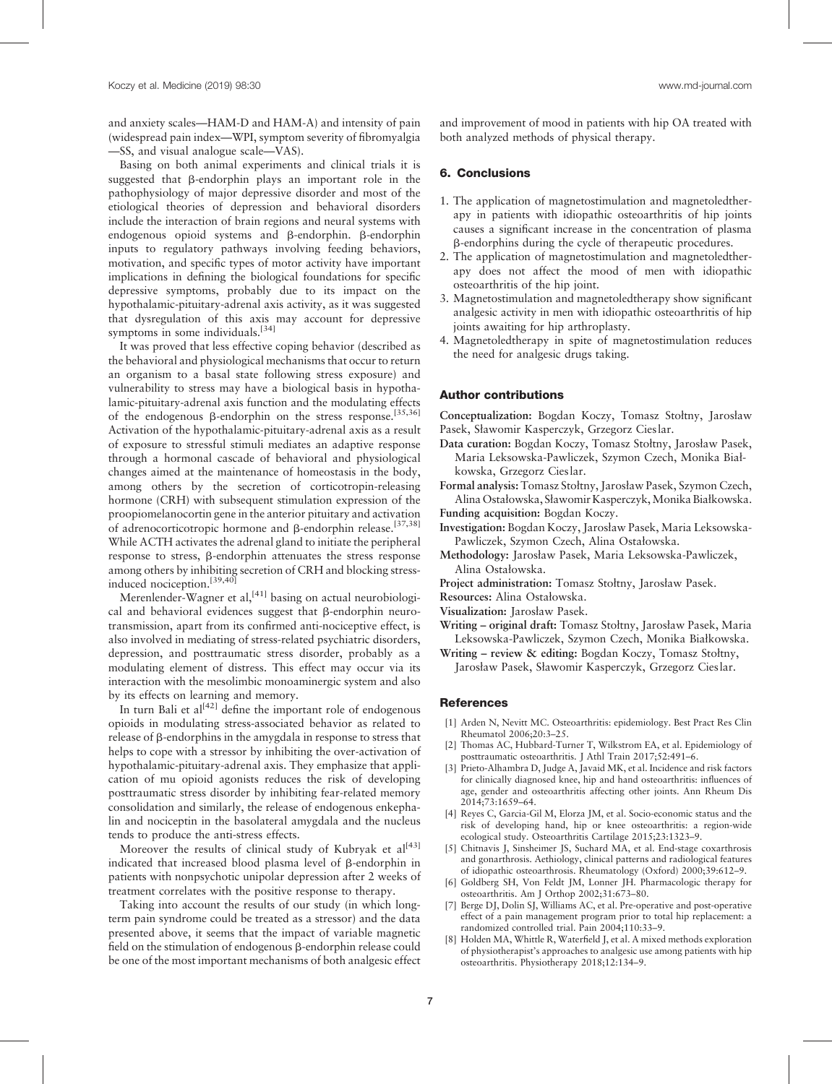and anxiety scales—HAM-D and HAM-A) and intensity of pain (widespread pain index—WPI, symptom severity of fibromyalgia —SS, and visual analogue scale—VAS).

Basing on both animal experiments and clinical trials it is suggested that  $\beta$ -endorphin plays an important role in the pathophysiology of major depressive disorder and most of the etiological theories of depression and behavioral disorders include the interaction of brain regions and neural systems with endogenous opioid systems and  $\beta$ -endorphin.  $\beta$ -endorphin inputs to regulatory pathways involving feeding behaviors, motivation, and specific types of motor activity have important implications in defining the biological foundations for specific depressive symptoms, probably due to its impact on the hypothalamic-pituitary-adrenal axis activity, as it was suggested that dysregulation of this axis may account for depressive symptoms in some individuals.<sup>[34]</sup>

It was proved that less effective coping behavior (described as the behavioral and physiological mechanisms that occur to return an organism to a basal state following stress exposure) and vulnerability to stress may have a biological basis in hypothalamic-pituitary-adrenal axis function and the modulating effects of the endogenous  $\beta$ -endorphin on the stress response.<sup>[35,36]</sup> Activation of the hypothalamic-pituitary-adrenal axis as a result of exposure to stressful stimuli mediates an adaptive response through a hormonal cascade of behavioral and physiological changes aimed at the maintenance of homeostasis in the body, among others by the secretion of corticotropin-releasing hormone (CRH) with subsequent stimulation expression of the proopiomelanocortin gene in the anterior pituitary and activation of adrenocorticotropic hormone and  $\beta$ -endorphin release.<sup>[37,38]</sup> While ACTH activates the adrenal gland to initiate the peripheral response to stress, b-endorphin attenuates the stress response among others by inhibiting secretion of CRH and blocking stressinduced nociception.<sup>[39,40]</sup>

Merenlender-Wagner et al,  $[41]$  basing on actual neurobiological and behavioral evidences suggest that  $\beta$ -endorphin neurotransmission, apart from its confirmed anti-nociceptive effect, is also involved in mediating of stress-related psychiatric disorders, depression, and posttraumatic stress disorder, probably as a modulating element of distress. This effect may occur via its interaction with the mesolimbic monoaminergic system and also by its effects on learning and memory.

In turn Bali et  $al^{[42]}$  define the important role of endogenous opioids in modulating stress-associated behavior as related to release of b-endorphins in the amygdala in response to stress that helps to cope with a stressor by inhibiting the over-activation of hypothalamic-pituitary-adrenal axis. They emphasize that application of mu opioid agonists reduces the risk of developing posttraumatic stress disorder by inhibiting fear-related memory consolidation and similarly, the release of endogenous enkephalin and nociceptin in the basolateral amygdala and the nucleus tends to produce the anti-stress effects.

Moreover the results of clinical study of Kubryak et al<sup>[43]</sup> indicated that increased blood plasma level of  $\beta$ -endorphin in patients with nonpsychotic unipolar depression after 2 weeks of treatment correlates with the positive response to therapy.

Taking into account the results of our study (in which longterm pain syndrome could be treated as a stressor) and the data presented above, it seems that the impact of variable magnetic field on the stimulation of endogenous  $\beta$ -endorphin release could be one of the most important mechanisms of both analgesic effect and improvement of mood in patients with hip OA treated with both analyzed methods of physical therapy.

### 6. Conclusions

- 1. The application of magnetostimulation and magnetoledtherapy in patients with idiopathic osteoarthritis of hip joints causes a significant increase in the concentration of plasma b-endorphins during the cycle of therapeutic procedures.
- 2. The application of magnetostimulation and magnetoledtherapy does not affect the mood of men with idiopathic osteoarthritis of the hip joint.
- 3. Magnetostimulation and magnetoledtherapy show significant analgesic activity in men with idiopathic osteoarthritis of hip joints awaiting for hip arthroplasty.
- 4. Magnetoledtherapy in spite of magnetostimulation reduces the need for analgesic drugs taking.

#### Author contributions

Conceptualization: Bogdan Koczy, Tomasz Stołtny, Jarosław Pasek, Sławomir Kasperczyk, Grzegorz Cieslar.

Data curation: Bogdan Koczy, Tomasz Stołtny, Jarosław Pasek, Maria Leksowska-Pawliczek, Szymon Czech, Monika Białkowska, Grzegorz Cieslar.

Formal analysis: Tomasz Stołtny, Jarosław Pasek, Szymon Czech, Alina Ostałowska, Sławomir Kasperczyk,Monika Białkowska.

Funding acquisition: Bogdan Koczy.

- Investigation: Bogdan Koczy, Jarosław Pasek, Maria Leksowska-Pawliczek, Szymon Czech, Alina Ostałowska.
- Methodology: Jarosław Pasek, Maria Leksowska-Pawliczek, Alina Ostałowska.

Project administration: Tomasz Stołtny, Jarosław Pasek.

Resources: Alina Ostałowska.

- Visualization: Jarosław Pasek.
- Writing original draft: Tomasz Stołtny, Jarosław Pasek, Maria Leksowska-Pawliczek, Szymon Czech, Monika Białkowska.
- Writing review & editing: Bogdan Koczy, Tomasz Stołtny, Jarosław Pasek, Sławomir Kasperczyk, Grzegorz Cieslar.

## **References**

- [1] Arden N, Nevitt MC. Osteoarthritis: epidemiology. Best Pract Res Clin Rheumatol 2006;20:3–25.
- [2] Thomas AC, Hubbard-Turner T, Wilkstrom EA, et al. Epidemiology of posttraumatic osteoarthritis. J Athl Train 2017;52:491–6.
- Prieto-Alhambra D, Judge A, Javaid MK, et al. Incidence and risk factors for clinically diagnosed knee, hip and hand osteoarthritis: influences of age, gender and osteoarthritis affecting other joints. Ann Rheum Dis 2014;73:1659–64.
- [4] Reyes C, Garcia-Gil M, Elorza JM, et al. Socio-economic status and the risk of developing hand, hip or knee osteoarthritis: a region-wide ecological study. Osteoarthritis Cartilage 2015;23:1323–9.
- [5] Chitnavis J, Sinsheimer JS, Suchard MA, et al. End-stage coxarthrosis and gonarthrosis. Aethiology, clinical patterns and radiological features of idiopathic osteoarthrosis. Rheumatology (Oxford) 2000;39:612–9.
- [6] Goldberg SH, Von Feldt JM, Lonner JH. Pharmacologic therapy for osteoarthritis. Am J Orthop 2002;31:673–80.
- [7] Berge DJ, Dolin SJ, Williams AC, et al. Pre-operative and post-operative effect of a pain management program prior to total hip replacement: a randomized controlled trial. Pain 2004;110:33–9.
- [8] Holden MA, Whittle R, Waterfield J, et al. A mixed methods exploration of physiotherapist's approaches to analgesic use among patients with hip osteoarthritis. Physiotherapy 2018;12:134–9.